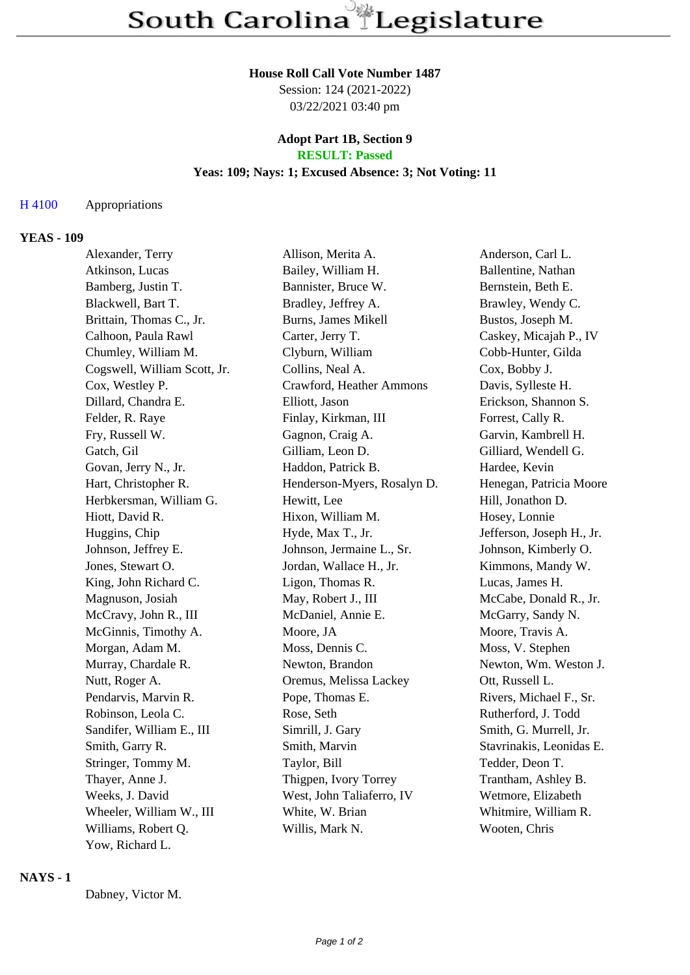#### **House Roll Call Vote Number 1487**

Session: 124 (2021-2022) 03/22/2021 03:40 pm

# **Adopt Part 1B, Section 9**

## **RESULT: Passed**

### **Yeas: 109; Nays: 1; Excused Absence: 3; Not Voting: 11**

#### H 4100 Appropriations

#### **YEAS - 109**

| Alexander, Terry             | Allison, Merita A.          | Anderson, Carl L.         |
|------------------------------|-----------------------------|---------------------------|
| Atkinson, Lucas              | Bailey, William H.          | Ballentine, Nathan        |
| Bamberg, Justin T.           | Bannister, Bruce W.         | Bernstein, Beth E.        |
| Blackwell, Bart T.           | Bradley, Jeffrey A.         | Brawley, Wendy C.         |
| Brittain, Thomas C., Jr.     | Burns, James Mikell         | Bustos, Joseph M.         |
| Calhoon, Paula Rawl          | Carter, Jerry T.            | Caskey, Micajah P., IV    |
| Chumley, William M.          | Clyburn, William            | Cobb-Hunter, Gilda        |
| Cogswell, William Scott, Jr. | Collins, Neal A.            | Cox, Bobby J.             |
| Cox, Westley P.              | Crawford, Heather Ammons    | Davis, Sylleste H.        |
| Dillard, Chandra E.          | Elliott, Jason              | Erickson, Shannon S.      |
| Felder, R. Raye              | Finlay, Kirkman, III        | Forrest, Cally R.         |
| Fry, Russell W.              | Gagnon, Craig A.            | Garvin, Kambrell H.       |
| Gatch, Gil                   | Gilliam, Leon D.            | Gilliard, Wendell G.      |
| Govan, Jerry N., Jr.         | Haddon, Patrick B.          | Hardee, Kevin             |
| Hart, Christopher R.         | Henderson-Myers, Rosalyn D. | Henegan, Patricia Moore   |
| Herbkersman, William G.      | Hewitt, Lee                 | Hill, Jonathon D.         |
| Hiott, David R.              | Hixon, William M.           | Hosey, Lonnie             |
| Huggins, Chip                | Hyde, Max T., Jr.           | Jefferson, Joseph H., Jr. |
| Johnson, Jeffrey E.          | Johnson, Jermaine L., Sr.   | Johnson, Kimberly O.      |
| Jones, Stewart O.            | Jordan, Wallace H., Jr.     | Kimmons, Mandy W.         |
| King, John Richard C.        | Ligon, Thomas R.            | Lucas, James H.           |
| Magnuson, Josiah             | May, Robert J., III         | McCabe, Donald R., Jr.    |
| McCravy, John R., III        | McDaniel, Annie E.          | McGarry, Sandy N.         |
| McGinnis, Timothy A.         | Moore, JA                   | Moore, Travis A.          |
| Morgan, Adam M.              | Moss, Dennis C.             | Moss, V. Stephen          |
| Murray, Chardale R.          | Newton, Brandon             | Newton, Wm. Weston J.     |
| Nutt, Roger A.               | Oremus, Melissa Lackey      | Ott, Russell L.           |
| Pendarvis, Marvin R.         | Pope, Thomas E.             | Rivers, Michael F., Sr.   |
| Robinson, Leola C.           | Rose, Seth                  | Rutherford, J. Todd       |
| Sandifer, William E., III    | Simrill, J. Gary            | Smith, G. Murrell, Jr.    |
| Smith, Garry R.              | Smith, Marvin               | Stavrinakis, Leonidas E.  |
| Stringer, Tommy M.           | Taylor, Bill                | Tedder, Deon T.           |
| Thayer, Anne J.              | Thigpen, Ivory Torrey       | Trantham, Ashley B.       |
| Weeks, J. David              | West, John Taliaferro, IV   | Wetmore, Elizabeth        |
| Wheeler, William W., III     | White, W. Brian             | Whitmire, William R.      |
| Williams, Robert Q.          | Willis, Mark N.             | Wooten, Chris             |
| Yow, Richard L.              |                             |                           |

#### **NAYS - 1**

Dabney, Victor M.